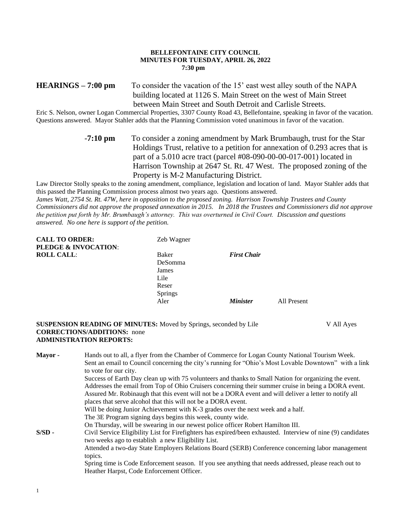### **BELLEFONTAINE CITY COUNCIL MINUTES FOR TUESDAY, APRIL 26, 2022 7:30 pm**

# **HEARINGS – 7:00 pm** To consider the vacation of the 15' east west alley south of the NAPA building located at 1126 S. Main Street on the west of Main Street between Main Street and South Detroit and Carlisle Streets.

Eric S. Nelson, owner Logan Commercial Properties, 3307 County Road 43, Bellefontaine, speaking in favor of the vacation. Questions answered. Mayor Stahler adds that the Planning Commission voted unanimous in favor of the vacation.

> -**7:10 pm** To consider a zoning amendment by Mark Brumbaugh, trust for the Star Holdings Trust, relative to a petition for annexation of 0.293 acres that is part of a 5.010 acre tract (parcel #08-090-00-00-017-001) located in Harrison Township at 2647 St. Rt. 47 West. The proposed zoning of the Property is M-2 Manufacturing District.

Law Director Stolly speaks to the zoning amendment, compliance, legislation and location of land. Mayor Stahler adds that this passed the Planning Commission process almost two years ago. Questions answered.

*James Watt, 2754 St. Rt. 47W, here in opposition to the proposed zoning. Harrison Township Trustees and County Commissioners did not approve the proposed annexation in 2015. In 2018 the Trustees and Commissioners did not approve the petition put forth by Mr. Brumbaugh's attorney. This was overturned in Civil Court. Discussion and questions answered. No one here is support of the petition.*

| <b>CALL TO ORDER:</b>           | Zeb Wagner     |                        |             |
|---------------------------------|----------------|------------------------|-------------|
| <b>PLEDGE &amp; INVOCATION:</b> |                |                        |             |
| <b>ROLL CALL:</b>               | Baker          | <b>First Chair</b>     |             |
|                                 | DeSomma        |                        |             |
|                                 | James          |                        |             |
|                                 | Lile           |                        |             |
|                                 | Reser          |                        |             |
|                                 | <b>Springs</b> |                        |             |
|                                 | Aler           | <i><b>Minister</b></i> | All Present |
|                                 |                |                        |             |

**SUSPENSION READING OF MINUTES:** Moved by Springs, seconded by Lile V All Ayes **CORRECTIONS/ADDITIONS:** none **ADMINISTRATION REPORTS:**

1

**Mayor -** Hands out to all, a flyer from the Chamber of Commerce for Logan County National Tourism Week. Sent an email to Council concerning the city's running for "Ohio's Most Lovable Downtown" with a link to vote for our city. Success of Earth Day clean up with 75 volunteers and thanks to Small Nation for organizing the event. Addresses the email from Top of Ohio Cruisers concerning their summer cruise in being a DORA event. Assured Mr. Robinaugh that this event will not be a DORA event and will deliver a letter to notify all places that serve alcohol that this will not be a DORA event. Will be doing Junior Achievement with K-3 grades over the next week and a half. The 3E Program signing days begins this week, county wide. On Thursday, will be swearing in our newest police officer Robert Hamilton III. **S/SD -** Civil Service Eligibility List for Firefighters has expired/been exhausted. Interview of nine (9) candidates two weeks ago to establish a new Eligibility List. Attended a two-day State Employers Relations Board (SERB) Conference concerning labor management topics. Spring time is Code Enforcement season. If you see anything that needs addressed, please reach out to Heather Harpst, Code Enforcement Officer.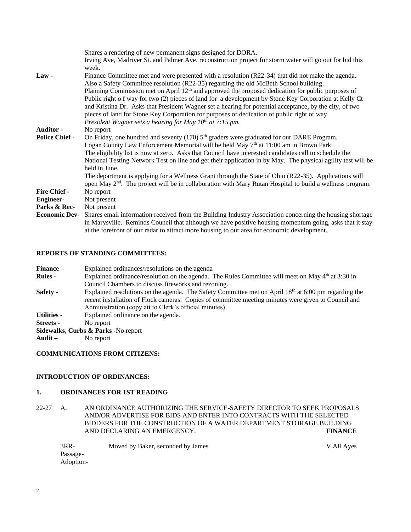|                       | Shares a rendering of new permanent signs designed for DORA.                                                      |
|-----------------------|-------------------------------------------------------------------------------------------------------------------|
|                       | Irving Ave, Madriver St. and Palmer Ave. reconstruction project for storm water will go out for bid this<br>week. |
| $Law -$               | Finance Committee met and were presented with a resolution (R22-34) that did not make the agenda.                 |
|                       | Also a Safety Committee resolution (R22-35) regarding the old McBeth School building.                             |
|                       | Planning Commission met on April 12 <sup>th</sup> and approved the proposed dedication for public purposes of     |
|                       | Public right of way for two (2) pieces of land for a development by Stone Key Corporation at Kelly Ct             |
|                       | and Kristina Dr. Asks that President Wagner set a hearing for potential acceptance, by the city, of two           |
|                       | pieces of land for Stone Key Corporation for purposes of dedication of public right of way.                       |
|                       | President Wagner sets a hearing for May $10^{th}$ at 7:15 pm.                                                     |
| <b>Auditor -</b>      | No report                                                                                                         |
| <b>Police Chief -</b> | On Friday, one hundred and seventy (170) 5 <sup>th</sup> graders were graduated for our DARE Program.             |
|                       | Logan County Law Enforcement Memorial will be held May 7 <sup>th</sup> at 11:00 am in Brown Park.                 |
|                       | The eligibility list is now at zero. Asks that Council have interested candidates call to schedule the            |
|                       | National Testing Network Test on line and get their application in by May. The physical agility test will be      |
|                       | held in June.                                                                                                     |
|                       | The department is applying for a Wellness Grant through the State of Ohio (R22-35). Applications will             |
|                       | open May $2nd$ . The project will be in collaboration with Mary Rutan Hospital to build a wellness program.       |
| <b>Fire Chief -</b>   | No report                                                                                                         |
| <b>Engineer-</b>      | Not present                                                                                                       |
| Parks & Rec-          | Not present                                                                                                       |
| <b>Economic Dev-</b>  | Shares email information received from the Building Industry Association concerning the housing shortage          |
|                       | in Marysville. Reminds Council that although we have positive housing momentum going, asks that it stay           |
|                       | at the forefront of our radar to attract more housing to our area for economic development.                       |

#### **REPORTS OF STANDING COMMITTEES:**

- **Finance –** Explained ordinances/resolutions on the agenda
- **Rules -** Explained ordinance/resolution on the agenda. The Rules Committee will meet on May 4<sup>th</sup> at 3:30 in Council Chambers to discuss fireworks and rezoning.
- **Safety -** Explained resolutions on the agenda. The Safety Committee met on April 18<sup>th</sup> at 6:00 pm regarding the recent installation of Flock cameras. Copies of committee meeting minutes were given to Council and Administration (copy att to Clerk's official minutes)
- **Utilities -** Explained ordinance on the agenda.
- **Streets -** No report
- **Sidewalks, Curbs & Parks -**No report
- **Audit –** No report

#### **COMMUNICATIONS FROM CITIZENS:**

## **INTRODUCTION OF ORDINANCES:**

### **1. ORDINANCES FOR 1ST READING**

22-27 A. AN ORDINANCE AUTHORIZING THE SERVICE-SAFETY DIRECTOR TO SEEK PROPOSALS AND/OR ADVERTISE FOR BIDS AND ENTER INTO CONTRACTS WITH THE SELECTED BIDDERS FOR THE CONSTRUCTION OF A WATER DEPARTMENT STORAGE BUILDING AND DECLARING AN EMERGENCY. **FINANCE**

3RR- Moved by Baker, seconded by James V All Ayes Passage-Adoption-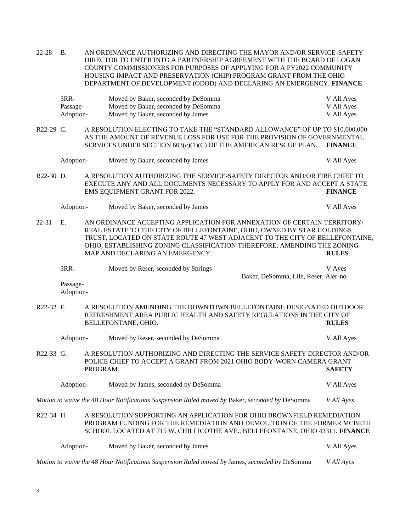22-28 B. AN ORDINANCE AUTHORIZING AND DIRECTING THE MAYOR AND/OR SERVICE-SAFETY DIRECTOR TO ENTER INTO A PARTNERSHIP AGREEMENT WITH THE BOARD OF LOGAN COUNTY COMMISSIONERS FOR PURPOSES OF APPLYING FOR A PY2022 COMMUNITY HOUSING IMPACT AND PRESERVATION (CHIP) PROGRAM GRANT FROM THE OHIO DEPARTMENT OF DEVELOPMENT (ODOD) AND DECLARING AN EMERGENCY. **FINANCE**

| 3RR-      | Moved by Baker, seconded by DeSomma | V All Ayes |
|-----------|-------------------------------------|------------|
| Passage-  | Moved by Baker, seconded by DeSomma | V All Ayes |
| Adoption- | Moved by Baker, seconded by James   | V All Ayes |

R22-29 C. A RESOLUTION ELECTING TO TAKE THE "STANDARD ALLOWANCE" OF UP TO \$10,000,000 AS THE AMOUNT OF REVENUE LOSS FOR USE FOR THE PROVISION OF GOVERNMENTAL SERVICES UNDER SECTION 603(c)(1)(C) OF THE AMERICAN RESCUE PLAN. **FINANCE**

|             | Adoption- | Moved by Baker, seconded by James                                                                                                                    | V All Ayes     |
|-------------|-----------|------------------------------------------------------------------------------------------------------------------------------------------------------|----------------|
| $R22-30$ D. |           | A RESOLUTION AUTHORIZING THE SERVICE-SAFETY DIRECTOR AND/OR FIRE CHIEF TO<br>EXECUTE ANY AND ALL DOCUMENTS NECESSARY TO APPLY FOR AND ACCEPT A STATE |                |
|             |           | EMS EQUIPMENT GRANT FOR 2022.                                                                                                                        | <b>FINANCE</b> |
|             | Adoption- | Moved by Baker, seconded by James                                                                                                                    | V All Ayes     |

22-31 E. AN ORDINANCE ACCEPTING APPLICATION FOR ANNEXATION OF CERTAIN TERRITORY/ REAL ESTATE TO THE CITY OF BELLEFONTAINE, OHIO, OWNED BY STAR HOLDINGS TRUST, LOCATED ON STATE ROUTE 47 WEST ADJACENT TO THE CITY OF BELLEFONTAINE, OHIO, ESTABLISHING ZONING CLASSIFICATION THEREFORE, AMENDING THE ZONING MAP AND DECLARING AN EMERGENCY. **RULES**

3RR- Moved by Reser, seconded by Springs V Ayes Baker, DeSomma, Lile, Reser, Aler-no

Passage-Adoption-

R22-32 F. A RESOLUTION AMENDING THE DOWNTOWN BELLEFONTAINE DESIGNATED OUTDOOR REFRESHMENT AREA PUBLIC HEALTH AND SAFETY REGULATIONS IN THE CITY OF BELLEFONTANE, OHIO. **RULES**

|           | Adoption- | Moved by Reser, seconded by DeSomma                                                                                                               | V All Ayes    |
|-----------|-----------|---------------------------------------------------------------------------------------------------------------------------------------------------|---------------|
| R22-33 G. |           | A RESOLUTION AUTHORIZING AND DIRECTING THE SERVICE SAFETY DIRECTOR AND/OR<br>POLICE CHIEF TO ACCEPT A GRANT FROM 2021 OHIO BODY-WORN CAMERA GRANT |               |
|           |           | PROGRAM.                                                                                                                                          | <b>SAFETY</b> |

Adoption- Moved by James, seconded by DeSomma V All Ayes

*Motion to waive the 48 Hour Notifications Suspension Ruled moved by* Baker, *seconded by* DeSomma *V All Ayes*

R22-34 H. A RESOLUTION SUPPORTING AN APPLICATION FOR OHIO BROWNFIELD REMEDIATION PROGRAM FUNDING FOR THE REMEDIATION AND DEMOLITION OF THE FORMER MCBETH SCHOOL LOCATED AT 715 W. CHILLICOTHE AVE., BELLEFONTAINE, OHIO 43311. **FINANCE**

| Adoption- | Moved by Baker, seconded by James                                                              | V All Aves |
|-----------|------------------------------------------------------------------------------------------------|------------|
|           | Motion to waive the 48 Hour Notifications Suspension Ruled moved by James, seconded by DeSomma | V All Aves |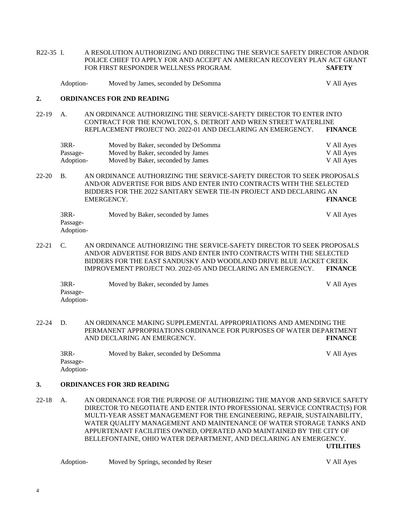R22-35 I. A RESOLUTION AUTHORIZING AND DIRECTING THE SERVICE SAFETY DIRECTOR AND/OR POLICE CHIEF TO APPLY FOR AND ACCEPT AN AMERICAN RECOVERY PLAN ACT GRANT FOR FIRST RESPONDER WELLNESS PROGRAM. **SAFETY** Adoption- Moved by James, seconded by DeSomma V All Ayes **2. ORDINANCES FOR 2ND READING** 22-19 A. AN ORDINANCE AUTHORIZING THE SERVICE-SAFETY DIRECTOR TO ENTER INTO CONTRACT FOR THE KNOWLTON, S. DETROIT AND WREN STREET WATERLINE REPLACEMENT PROJECT NO. 2022-01 AND DECLARING AN EMERGENCY. **FINANCE** 3RR- Moved by Baker, seconded by DeSomma V All Ayes Passage- Moved by Baker, seconded by James V All Ayes Adoption- Moved by Baker, seconded by James V All Ayes 22-20 B. AN ORDINANCE AUTHORIZING THE SERVICE-SAFETY DIRECTOR TO SEEK PROPOSALS AND/OR ADVERTISE FOR BIDS AND ENTER INTO CONTRACTS WITH THE SELECTED BIDDERS FOR THE 2022 SANITARY SEWER TIE-IN PROJECT AND DECLARING AN EMERGENCY. **FINANCE** 3RR- Moved by Baker, seconded by James V All Ayes Passage-Adoption-22-21 C. AN ORDINANCE AUTHORIZING THE SERVICE-SAFETY DIRECTOR TO SEEK PROPOSALS AND/OR ADVERTISE FOR BIDS AND ENTER INTO CONTRACTS WITH THE SELECTED BIDDERS FOR THE EAST SANDUSKY AND WOODLAND DRIVE BLUE JACKET CREEK IMPROVEMENT PROJECT NO. 2022-05 AND DECLARING AN EMERGENCY. **FINANCE** 3RR- Moved by Baker, seconded by James V All Ayes Passage-Adoption-22-24 D. AN ORDINANCE MAKING SUPPLEMENTAL APPROPRIATIONS AND AMENDING THE PERMANENT APPROPRIATIONS ORDINANCE FOR PURPOSES OF WATER DEPARTMENT AND DECLARING AN EMERGENCY. **FINANCE** 3RR- Moved by Baker, seconded by DeSomma V All Ayes Passage-Adoption-**3. ORDINANCES FOR 3RD READING** 22-18 A. AN ORDINANCE FOR THE PURPOSE OF AUTHORIZING THE MAYOR AND SERVICE SAFETY DIRECTOR TO NEGOTIATE AND ENTER INTO PROFESSIONAL SERVICE CONTRACT(S) FOR MULTI-YEAR ASSET MANAGEMENT FOR THE ENGINEERING, REPAIR, SUSTAINABILITY, WATER QUALITY MANAGEMENT AND MAINTENANCE OF WATER STORAGE TANKS AND APPURTENANT FACILITIES OWNED, OPERATED AND MAINTAINED BY THE CITY OF

BELLEFONTAINE, OHIO WATER DEPARTMENT, AND DECLARING AN EMERGENCY.

**UTILITIES**

| Adoption- | Moved by Springs, seconded by Reser | V All Aves |
|-----------|-------------------------------------|------------|
|           |                                     |            |